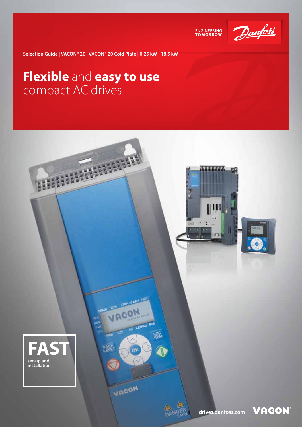

ENGINEERING<br>TOMORROW

**Selection Guide | VACON® 20 | VACON® 20 Cold Plate | 0.25 kW - 18.5 kW**

### **Flexible** and **easy to use** compact AC drives

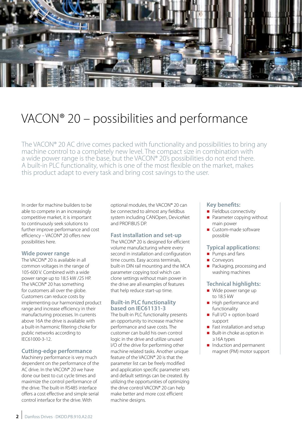

## VACON® 20 – possibilities and performance

The VACON® 20 AC drive comes packed with functionality and possibilities to bring any machine control to a completely new level. The compact size in combination with a wide power range is the base, but the VACON® 20's possibilities do not end there. A built-in PLC functionality, which is one of the most flexible on the market, makes this product adapt to every task and bring cost savings to the user.

In order for machine builders to be able to compete in an increasingly competitive market, it is important to continuously seek solutions to further improve performance and cost efficiency – VACON® 20 offers new possibilities here.

### **Wide power range**

The VACON® 20 is available in all common voltages in the range of 105-600 V. Combined with a wide power range up to 18.5 kW /25 HP. The VACON® 20 has something for customers all over the globe. Customers can reduce costs by implementing our harmonized product range and increase efficiency in their manufacturing processes. In currents above 16A the drive is available with a built-in harmonic filtering choke for public networks according to IEC61000-3-12.

#### **Cutting-edge performance**

Machinery performance is very much dependent on the performance of the AC drive. In the VACON® 20 we have done our best to cut cycle times and maximize the control performance of the drive. The built-in RS485 interface offers a cost effective and simple serial control interface for the drive. With

optional modules, the VACON® 20 can be connected to almost any fieldbus system including CANOpen, DeviceNet and PROFIBUS DP.

#### **Fast installation and set-up**

The VACON® 20 is designed for efficient volume manufacturing where every second in installation and configuration time counts. Easy access terminals, built-in DIN rail mounting and the MCA parameter copying tool which can clone settings without main power in the drive are all examples of features that help reduce start-up time.

#### **Built-in PLC functionality based on IEC61131-3**

The built-in PLC functionality presents an opportunity to increase machine performance and save costs. The customer can build his own control logic in the drive and utilize unused I/O of the drive for performing other machine related tasks. Another unique feature of the VACON® 20 is that the parameter list can be freely modified and application specific parameter sets and default settings can be created. By utilizing the opportunities of optimizing the drive control VACON® 20 can help make better and more cost efficient machine designs.

#### **Key benefits:**

- Fieldbus connectivity
- **Parameter copying without** main power
- Custom-made software possible

#### **Typical applications:**

- Pumps and fans
- Convevors
- **Packaging, processing and** washing machines

#### **Technical highlights:**

- Wide power range up to 18.5 kW
- High performance and functionality
- Full  $I/O$  + option board support
- Fast installation and setup
- Built-in choke as option in ≥16A types
- Induction and permanent magnet (PM) motor support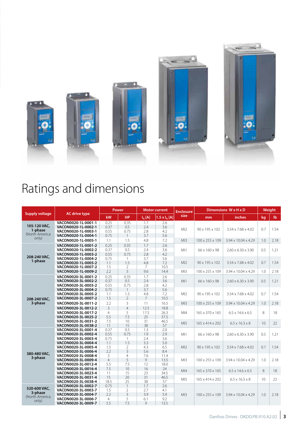

# Ratings and dimensions

|                           |                                            | <b>Power</b>          |                                | <b>Motor current</b> |                        | <b>Enclosure</b> | Dimensions W x H x D        |                                 | Weight |              |
|---------------------------|--------------------------------------------|-----------------------|--------------------------------|----------------------|------------------------|------------------|-----------------------------|---------------------------------|--------|--------------|
| <b>Supply voltage</b>     | <b>AC drive type</b>                       | kW                    | <b>HP</b>                      | $I_N[A]$             | $1.5 \times I_{N} [A]$ | size             | mm                          | inches                          | kg     | $\mathbf{I}$ |
| 105-120 VAC,              | VACON0020-1L-0001-1                        | 0.25                  | 0.35                           | 1.7                  | 2.6                    |                  |                             |                                 |        |              |
|                           | VACON0020-1L-0002-1                        | 0.37                  | 0.5                            | 2.4                  | 3.6                    | M12              | 90 x 195 x 102              | $3.54 \times 7.68 \times 4.02$  | 0.7    | 1.54         |
| 1-phase<br>(North America | VACON0020-1L-0003-1                        | 0.55                  | 0.75                           | 2.8                  | 4.2                    |                  |                             |                                 |        |              |
| only)                     | VACON0020-1L-0004-1                        | 0.75                  |                                | 3.7                  | 5.6                    |                  |                             |                                 |        |              |
|                           | VACON0020-1L-0005-1                        | 1.1                   | 1.5                            | 4.8                  | 7.2                    | M13              | 100 x 255 x 109             | 3.94 x 10.04 x 4.29             | 1.0    | 2.18         |
|                           | VACON0020-1L-0001-2                        | 0.25                  | 0.35                           | 1.7                  | 2.6                    |                  |                             |                                 |        |              |
|                           | VACON0020-1L-0002-2                        | 0.37                  | 0.5                            | 2.4                  | 3.6                    | M11              | 66 x 160 x 98               | $2.60 \times 6.30 \times 3.90$  | 0.5    | 1.21         |
| 208-240 VAC,              | VACON0020-1L-0003-2                        | 0.55                  | 0.75                           | 2.8                  | 4.2                    |                  |                             |                                 |        |              |
| 1-phase                   | VACON0020-1L-0004-2                        | 0.75                  | $\mathbf{1}$                   | 3.7                  | 5.6                    |                  |                             |                                 |        |              |
|                           | VACON0020-1L-0005-2                        | 1.1                   | 1.5                            | 4.8                  | 7.2                    | M12              | 90 x 195 x 102              | $3.54 \times 7.68 \times 4.02$  | 0.7    | 1.54         |
|                           | VACON0020-1L-0007-2                        | 1.5                   | 2                              | 7                    | 10.5                   |                  |                             |                                 |        |              |
|                           | VACON0020-1L-0009-2                        | 2.2                   | $\overline{3}$                 | 9.6                  | 14.4                   | Ml3              | 100 x 255 x 109             | 3.94 x 10.04 x 4.29             | 1.0    | 2.18         |
|                           | VACON0020-3L-0001-2                        | 0.25                  | 0.35                           | 1.7                  | 2.6                    |                  | 66 x 160 x 98               | $2.60 \times 6.30 \times 3.90$  | 0.5    | 1.21         |
|                           | VACON0020-3L-0002-2                        | 0.37                  | 0.5                            | 2.4                  | 3.6                    | M11              |                             |                                 |        |              |
|                           | VACON0020-3L-0003-2                        | 0.55                  | 0.75                           | 2.8                  | 4.2                    |                  |                             |                                 |        |              |
| 208-240 VAC,<br>3-phase   | VACON0020-3L-0004-2<br>VACON0020-3L-0005-2 | 0.75<br>1.1           | 1.5                            | 3.7<br>4.8           | 5.6<br>7.2             | M <sub>2</sub>   | 90 x 195 x 102              | 3.54 x 7.68 x 4.02              | 0.7    | 1.54         |
|                           | VACON0020-3L-0007-2                        | 1.5                   | $\overline{2}$                 | $\overline{7}$       | 10.5                   |                  |                             |                                 |        |              |
|                           |                                            |                       |                                |                      |                        | Ml3              |                             |                                 |        |              |
|                           | VACON0020-3L-0011-2                        | 2.2                   | 3                              | 11                   | 16.5                   |                  | 100 x 255 x 109             | 3.94 x 10.04 x 4.29             | 1.0    | 2.18         |
|                           | VACON0020-3L-0012-2                        | $\overline{3}$        | $\overline{4}$                 | 12.5                 | 18.8                   | M <sub>14</sub>  | 165 x 370 x 165             | $6.5 \times 14.6 \times 6.5$    | 8      | 18           |
|                           | VACON0020-3L-0017-2<br>VACON0020-3L-0025-2 | $\overline{4}$<br>5.5 | 5<br>7.5                       | 17.5<br>25           | 26.3<br>37.5           |                  |                             |                                 |        |              |
|                           | VACON0020-3L-0031-2                        | 7.5                   | 10                             | 31                   | 46.5                   |                  | 165 x 414 x 202             | $6.5 \times 16.3 \times 8$      | 10     | 22           |
|                           | VACON0020-3L-0038-2                        | 11                    | 15                             | 38                   | 57                     | M <sub>5</sub>   |                             |                                 |        |              |
|                           | VACON0020-3L-0001-4                        | 0.37                  | 0.5                            | 1.3                  | 2.0                    |                  |                             |                                 |        |              |
|                           | VACON0020-3L-0002-4                        | 0.55                  | 0.75                           | 1.9                  | 2.9                    | M11              | 66 x 160 x 98               | $2.60 \times 6.30 \times 3.90$  | 0.5    | 1.21         |
|                           | VACON0020-3L-0003-4                        | 0.75                  | $\mathbf{1}$                   | 2.4                  | 3.6                    |                  |                             |                                 |        |              |
|                           | VACON0020-3L-0004-4                        | 1.1                   | 1.5                            | 3.3                  | 5.0                    |                  | 90 x 195 x 102              | $3.54 \times 7.68 \times 4.02$  | 0.7    | 1.54         |
|                           | VACON0020-3L-0005-4                        | 1.5                   | $\overline{2}$                 | 4.3                  | 6.5                    | M12              |                             |                                 |        |              |
| 380-480 VAC,              | VACON0020-3L-0006-4                        | 2.2                   | $\overline{3}$                 | 5.6                  | 8.4                    |                  |                             |                                 |        |              |
| 3-phase                   | VACON0020-3L-0008-4                        | 3                     | $\overline{4}$                 | 7.6                  | 11.4                   |                  | 100 x 255 x 109             | 3.94 x 10.04 x 4.29             | 1.0    | 2.18         |
|                           | VACON0020-3L-0009-4                        | $\overline{4}$        | 5                              | 9                    | 13.5                   | M13              |                             |                                 |        |              |
|                           | VACON0020-3L-0012-4                        | 5.5                   | 7.5                            | 12                   | 18.0                   |                  |                             |                                 |        |              |
|                           | VACON0020-3L-0016-4                        | 7.5                   | 10                             | 16                   | 24                     | M <sub>14</sub>  | 165 x 370 x 165             | $6.5 \times 14.6 \times 6.5$    | 8      | 18           |
|                           | VACON0020-3L-0023-4                        | 11                    | 15                             | 23                   | 34.5                   |                  |                             |                                 |        |              |
|                           | VACON0020-3L-0031-4                        | 15                    | 20                             | 31                   | 46.5                   | M <sub>I5</sub>  | 165 x 414 x 202             | $6.5 \times 16.3 \times 8$      | 10     | 22           |
| 520-600 VAC,              | VACON0020-3L-0038-4                        | 18.5                  | 25                             | 38                   | 57                     |                  |                             |                                 |        |              |
|                           | VACON0020-3L-0002-7<br>VACON0020-3L-0003-7 | 0.75<br>1.5           | $\mathbf{1}$<br>$\overline{2}$ | 1.7<br>2.7           | 2.6<br>4.1             |                  |                             | $3.94 \times 10.04 \times 4.29$ | 1.0    | 2.18         |
| 3-phase                   | VACON0020-3L-0004-7                        | 2.2                   | 3                              | 3.9                  | 5.9                    | M13              | $100 \times 255 \times 109$ |                                 |        |              |
| (North America            | VACON0020-3L-0006-7                        | $\overline{4}$        | 5                              | 6.1                  | 9.2                    |                  |                             |                                 |        |              |
| only)                     | VACON0020-3L-0009-7                        | 5.5                   | 7.5                            | $\mathsf{Q}$         | 13.5                   |                  |                             |                                 |        |              |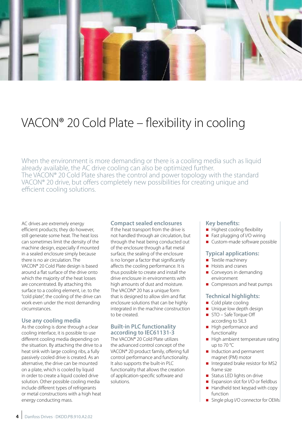

### VACON® 20 Cold Plate – flexibility in cooling

When the environment is more demanding or there is a cooling media such as liquid already available, the AC drive cooling can also be optimized further. The VACON® 20 Cold Plate shares the control and power topology with the standard VACON® 20 drive, but offers completely new possibilities for creating unique and efficient cooling solutions.

AC drives are extremely energy efficient products; they do however, still generate some heat. The heat loss can sometimes limit the density of the machine design, especially if mounted in a sealed enclosure simply because there is no air circulation. The VACON® 20 Cold Plate design is based around a flat surface of the drive onto which the majority of the heat losses are concentrated. By attaching this surface to a cooling element, i.e. to the "cold plate", the cooling of the drive can work even under the most demanding circumstances.

#### **Use any cooling media**

As the cooling is done through a clear cooling interface, it is possible to use different cooling media depending on the situation. By attaching the drive to a heat sink with large cooling ribs, a fully passively cooled drive is created. As an alternative, the drive can be mounted on a plate, which is cooled by liquid in order to create a liquid cooled drive solution. Other possible cooling media include different types of refrigerants or metal constructions with a high heat energy conducting mass.

#### **Compact sealed enclosures**

If the heat transport from the drive is not handled through air circulation, but through the heat being conducted out of the enclosure through a flat metal surface, the sealing of the enclosure is no longer a factor that significantly affects the cooling performance. It is thus possible to create and install the drive enclosure in environments with high amounts of dust and moisture. The VACON® 20 has a unique form that is designed to allow slim and flat enclosure solutions that can be highly integrated in the machine construction to be created.

### **Built-in PLC functionality according to IEC61131-3**

The VACON® 20 Cold Plate utilizes the advanced control concept of the VACON® 20 product family, offering full control performance and functionality. It also supports the built-in PLC functionality that allows the creation of application-specific software and solutions.

#### **Key benefits:**

- $\blacksquare$  Highest cooling flexibility
- Fast plugging of I/O wiring
- Custom-made software possible

#### **Typical applications:**

- $\blacksquare$  Textile machinery
- Hoists and cranes
- Conveyors in demanding environment
- Compressors and heat pumps

#### **Technical highlights:**

- Cold plate cooling
- Unique low depth design
- STO Safe Torque Off according to SIL3
- High performance and functionality
- $\blacksquare$  High ambient temperature rating up to 70 °C
- Induction and permanent magnet (PM) motor
- Integrated brake resistor for MS2 frame size
- Status LED lights on drive
- Expansion slot for I/O or fieldbus
- $\blacksquare$  Handheld text keypad with copy function
- Single plug I/O connector for OEMs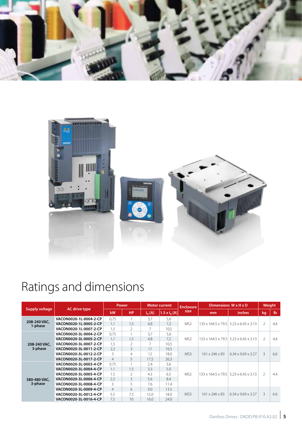



# Ratings and dimensions

| <b>Supply voltage</b>   | <b>AC</b> drive type   | <b>Power</b>   |                | <b>Motor current</b> |                        | <b>Enclosure</b> | Dimensions W x H x D |                                                               | Weight         |              |
|-------------------------|------------------------|----------------|----------------|----------------------|------------------------|------------------|----------------------|---------------------------------------------------------------|----------------|--------------|
|                         |                        | kW             | <b>HP</b>      | $I_N[A]$             | $1.5 \times I_{N} [A]$ | size             | mm                   | inches                                                        | kg             | $\mathbf{I}$ |
|                         | VACON0020-1L-0004-2-CP | 0.75           |                | 3.7                  | 5,6                    | MS <sub>2</sub>  |                      | 133 x 164.5 x 79.5 5.23 x 6.43 x 3.13                         | $\overline{2}$ | 4,4          |
| 208-240 VAC,<br>1-phase | VACON0020-1L-0005-2-CP | 1,1            | 1,5            | 4,8                  | 7.2                    |                  |                      |                                                               |                |              |
|                         | VACON0020-1L-0007-2-CP | 1,5            | 2              |                      | 10,5                   |                  |                      |                                                               |                |              |
|                         | VACON0020-3L-0004-2-CP | 0.75           |                | 3.7                  | 5,6                    | MS <sub>2</sub>  |                      | 133 x 164.5 x 79.5   5.23 x 6.43 x 3.13                       | $\overline{2}$ | 4,4          |
|                         | VACON0020-3L-0005-2-CP | 1,1            | 1.5            | 4,8                  | 7,2                    |                  |                      |                                                               |                |              |
| 208-240 VAC,            | VACON0020-3L-0007-2-CP | 1,5            | 2              |                      | 10,5                   |                  |                      |                                                               |                |              |
| 3-phase                 | VACON0020-3L-0011-2-CP | 2,2            | 3              | 11                   | 16,5                   | MS3              | 161 x 246 x 83       | $6.34 \times 9.69 \times 3.27$                                | 3              | 6,6          |
|                         | VACON0020-3L-0012-2-CP | 3              | $\overline{4}$ | 12                   | 18.0                   |                  |                      |                                                               |                |              |
|                         | VACON0020-3L-0017-2-CP | $\overline{4}$ | 5              | 17.5                 | 26,3                   |                  |                      |                                                               |                |              |
|                         | VACON0020-3L-0003-4-CP | 0.75           |                | 7.4                  | 3.6                    | MS <sub>2</sub>  |                      | $133 \times 164.5 \times 79.5$ 5.23 $\times 6.43 \times 3.13$ | $\overline{2}$ | 4.4          |
|                         | VACON0020-3L-0004-4-CP | 1.1            | 1.5            | 3.3                  | 5.0                    |                  |                      |                                                               |                |              |
|                         | VACON0020-3L-0005-4-CP | 1.5            | $\mathfrak{D}$ | 4.3                  | 6.5                    |                  |                      |                                                               |                |              |
| 380-480 VAC,            | VACON0020-3L-0006-4-CP | 2.2            | 3              | 5.6                  | 8.4                    |                  |                      |                                                               |                |              |
| 3-phase                 | VACON0020-3L-0008-4-CP | 3              | 5              | 7.6                  | 11.4                   |                  |                      |                                                               |                |              |
|                         | VACON0020-3L-0009-4-CP | $\overline{4}$ | 6              | 90                   | 13.5                   | MS3              | 161 x 246 x 83       | $6.34 \times 9.69 \times 3.27$                                | 3              | 6.6          |
|                         | VACON0020-3L-0012-4-CP | 5.5            | 7.5            | 12.0                 | 18.0                   |                  |                      |                                                               |                |              |
|                         | VACON0020-3L-0016-4-CP | 7.5            | 10             | 16.0                 | 24.0                   |                  |                      |                                                               |                |              |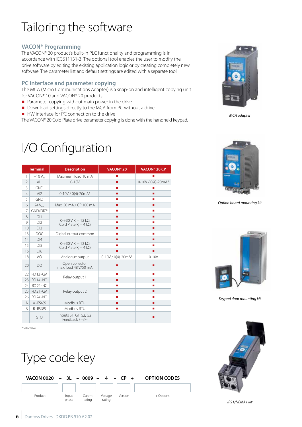# Tailoring the software

### **VACON® Programming**

The VACON® 20 product's built-in PLC functionality and programming is in accordance with IEC611131-3. The optional tool enables the user to modify the drive software by editing the existing application logic or by creating completely new software. The parameter list and default settings are edited with a separate tool.

### **PC interface and parameter copying**

The MCA (Micro Communications Adapter) is a snap-on and intelligent copying unit for VACON® 10 and VACON® 20 products.

- $\blacksquare$  Parameter copying without main power in the drive
- Download settings directly to the MCA from PC without a drive
- HW interface for PC connection to the drive

The VACON® 20 Cold Plate drive parameter copying is done with the handheld keypad.

## I/O Configuration

| <b>Terminal</b><br><b>Description</b> |                    | VACON <sup>®</sup> 20                                                      | VACON <sup>®</sup> 20 CP |                    |
|---------------------------------------|--------------------|----------------------------------------------------------------------------|--------------------------|--------------------|
| 1                                     | $+10V_{ref}$       | Maximum load 10 mA                                                         | п                        |                    |
| $\overline{2}$                        | AI1                | $0-10V$                                                                    | п                        | $0-10V/0(4)-20mA*$ |
| 3                                     | GND                |                                                                            | п                        | ш                  |
| $\overline{4}$                        | AI2                | $0-10V/0(4)-20mA*$                                                         | п                        | п                  |
| 5                                     | <b>GND</b>         |                                                                            | ш                        | п                  |
| 6                                     | $24V_{\text{out}}$ | Max, 50 mA / CP 100 mA                                                     | п                        | п                  |
| 7                                     | GND/DIC*           |                                                                            | <b>The State</b>         | п                  |
| 8                                     | DI1                |                                                                            | п                        | п                  |
| 9                                     | DI2                | $0 - +30$ V R <sub>i</sub> = 12 k $\Omega$<br>Cold Plate $R_i = 4 k\Omega$ | п                        | п                  |
| 10                                    | DI3                |                                                                            | ٠                        | п                  |
| 13                                    | <b>DOC</b>         | Digital output common                                                      | п                        | п                  |
| 14                                    | DI4                |                                                                            | п                        | п                  |
| 15                                    | D <sub>15</sub>    | $0 + 30 \text{ V R} = 12 \text{ k}\Omega$<br>Cold Plate $R_i = 4 k\Omega$  | п                        | п                  |
| 16                                    | DI <sub>6</sub>    |                                                                            | п                        | ٠                  |
| 18                                    | AO                 | Analogue output                                                            | 0-10V / 0(4)-20mA*       | $0 - 10V$          |
| 20                                    | <b>DO</b>          | Open collector,<br>max. load 48 V/50 mA                                    | п                        |                    |
| 22                                    | RO 13 - CM         |                                                                            | п                        | п                  |
| 23                                    | <b>RO 14 - NO</b>  | Relay output 1                                                             | п                        | п                  |
| 24                                    | <b>RO 22 - NC</b>  |                                                                            | <b>The State</b>         | п                  |
| 25                                    | <b>RO21-CM</b>     | Relay output 2                                                             | п                        | п                  |
| 26                                    | <b>RO 24 - NO</b>  |                                                                            | п                        | <b>COL</b>         |
| Α                                     | A-RS485            | Modbus RTU                                                                 | ٠                        | ٠                  |
| <sub>B</sub>                          | <b>B-RS485</b>     | Modbus RTU                                                                 | п                        | <b>COL</b>         |
|                                       | <b>STO</b>         | Inputs S1, G1, S2, G2<br>Feedback F+/F-                                    |                          |                    |

\* Selectable





*MCA adapter*



*Option board mounting kit*



*Keypad door mounting kit*



*IP21/NEMA1 kit*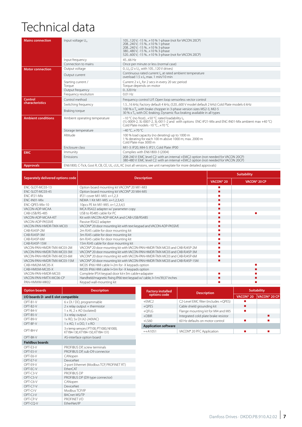# Technical data

OPT-C6-V CANopen OPT-C7-V DeviceNet OPT-CI-V | Modbus TCP/IP OPT-CJ-V BACnet MS/TP OPT-CP-V PROFINET I/O OPT-CQ-V EtherNet/IP

| <b>Mains connection</b>   | Input voltage U <sub>in</sub>                                                                                   | 105120 V, -15 %+10 % 1-phase (not for VACON 20CP)<br>208240 V, -15 %+10 % 1-phase<br>208240 V, -15 %+10 % 3-phase<br>380480 V, -15 %+10 % 3-phase<br>520600 V, -15 %+10 % 3-phase (not for VACON 20CP) |  |  |  |
|---------------------------|-----------------------------------------------------------------------------------------------------------------|--------------------------------------------------------------------------------------------------------------------------------------------------------------------------------------------------------|--|--|--|
|                           | Input frequency                                                                                                 | 45  66 Hz                                                                                                                                                                                              |  |  |  |
|                           | Connection to mains                                                                                             | Once per minute or less (normal case)                                                                                                                                                                  |  |  |  |
| <b>Motor connection</b>   | Output voltage                                                                                                  | 0U <sub>in</sub> (2 x U <sub>in</sub> with 105120 V drives)                                                                                                                                            |  |  |  |
|                           | Output current                                                                                                  | Continuous rated current I <sub>N</sub> at rated ambient temperature<br>overload 1.5 x la max. 1 min/10 min                                                                                            |  |  |  |
|                           | Starting current /<br>Torque                                                                                    | Current $2 \times I_{N}$ for 2 secs in every 20 sec period<br>Torque depends on motor                                                                                                                  |  |  |  |
|                           | Output frequency                                                                                                | $0.320$ Hz                                                                                                                                                                                             |  |  |  |
|                           | Frequency resolution                                                                                            | 0.01 H <sub>z</sub>                                                                                                                                                                                    |  |  |  |
| Control                   | Control method                                                                                                  | Frequency control U/f. Open loop sensorless vector control                                                                                                                                             |  |  |  |
| characteristics           | Switching frequency                                                                                             | 1.516 kHz; Factory default 4 kHz, (520600 V model default 2 kHz) Cold Plate models 6 kHz                                                                                                               |  |  |  |
|                           | Braking torque                                                                                                  | 100 % x T <sub>N</sub> with brake chopper in 3-phase version sizes MS2-3, MI2-5<br>30 % x T <sub>N</sub> with DC-braking. Dynamic flux braking available in all types                                  |  |  |  |
| <b>Ambient conditions</b> | Ambient operating temperature                                                                                   | -10 °C (no frost)+50 °C: rated loadability I <sub>N</sub><br>(1L-0009-2, 3L-0007-2, 3L-0011-2 and with options ENC-IP21-MIx and ENC-IN01-MIx ambient max +40 °C)<br>Cold Plate models -10 °C +70 °C    |  |  |  |
|                           | Storage temperature                                                                                             | $-40 °C + 70 °C$                                                                                                                                                                                       |  |  |  |
|                           | Altitude                                                                                                        | 100 % load capacity (no derating) up to 1000 m<br>1 % derating for each 100 m above 1000 m; max. 2000 m<br>Cold Plate max 3000 m                                                                       |  |  |  |
|                           | Enclosure class                                                                                                 | MI1-3: IP20, MI4-5: IP21, Cold Plate: IP00                                                                                                                                                             |  |  |  |
| <b>EMC</b>                | Immunity                                                                                                        | Complies with EN61800-3 (2004)                                                                                                                                                                         |  |  |  |
|                           | Emissions                                                                                                       | 208-240 V: EMC level C2: with an internal +EMC2 option (not needed for VACON 20CP)<br>380-480 V: EMC level C2: with an internal +EMC2 option (not needed for VACON 20CP)                               |  |  |  |
| Approvals                 | EN61800, C-Tick, Gost R, CB, CE, UL, cUL, KC (not all versions, see unit nameplate for more detailed approvals) |                                                                                                                                                                                                        |  |  |  |

|                                   |                                                                            | <b>Suitability</b>    |              |  |  |
|-----------------------------------|----------------------------------------------------------------------------|-----------------------|--------------|--|--|
| Separately delivered options code | <b>Description</b>                                                         | VACON <sup>®</sup> 20 | VACON® 20 CP |  |  |
| ENC-SLOT-MC03-13                  | Option board mounting kit VACON® 20 MI1-MI3                                |                       |              |  |  |
| FNC-SLOT-MC03-45                  | Option board mounting kit VACON® 20 MI4-MI5                                |                       |              |  |  |
| FNC-IP21-Mlx                      | IP21 cover MI1-MI3. x=1,2,3                                                |                       |              |  |  |
| FNC-IN01-MIx                      | NEMA 1 Kit MI1-MI5. x=1,2,3,4,5                                            |                       |              |  |  |
| ENC-OPES-MIx-10                   | 10pcs PE kit MI1-MI5. x=1,2,3,4,5                                          |                       |              |  |  |
| VACON-ADP-MCAA                    | MCA RS422 adapter w/ parameter copy                                        | ■                     |              |  |  |
| CAB-USB/RS-485                    | USB to RS485 cable for PC                                                  |                       |              |  |  |
| VACON-ADP-MCAA-KIT                | Kit with VACON-ADP-MCAA and CAB-USB/RS485                                  |                       |              |  |  |
| VACON-ADP-PASSIVE                 | Passive RS422 adapter                                                      |                       |              |  |  |
| VACON-PAN-HMDR-TMX-MC03           | VACON® 20 door mounting kit with text keypad and VACON-ADP-PASSIVE         |                       |              |  |  |
| CAB-RJ45P-2M                      | 2m RJ45 cable for door mounting kit                                        |                       |              |  |  |
| CAB-RJ45P-3M                      | 3m RJ45 cable for door mounting kit                                        |                       |              |  |  |
| CAB-RJ45P-6M                      | 6m RJ45 cable for door mounting kit                                        |                       |              |  |  |
| CAB-RJ45P-15M                     | 15m RJ45 cable for door mounting kit                                       |                       |              |  |  |
| VACON-PAN-HMDR-TMX-MC03-2M        | VACON® 20 door mounting kit with VACON-PAN-HMDR-TMX-MC03 and CAB-RJ45P-2M  |                       |              |  |  |
| VACON-PAN-HMDR-TMX-MC03-3M        | VACON® 20 door mounting kit with VACON-PAN-HMDR-TMX-MC03 and CAB-RJ45P-3M  |                       |              |  |  |
| VACON-PAN-HMDR-TMX-MC03-6M        | VACON® 20 door mounting kit with VACON-PAN-HMDR-TMX-MC03 and CAB-RJ45P-6M  |                       |              |  |  |
| VACON-PAN-HMDR-TMX-MC03-15M       | VACON® 20 door mounting kit with VACON-PAN-HMDR-TMX-MC03 and CAB-RJ45P-15M |                       |              |  |  |
| CAB-HMI2M-MC05-X                  | MC05 IP66 HMI cable I=2m for -X keypads option                             |                       |              |  |  |
| CAB-HMI5M-MC05-X                  | MC05 IP66 HMI cable I=5m for -X keypads option                             |                       |              |  |  |
| VACON-PAN-HMDR-MC03               | Complete IP54 keypad door kit+3m cable+adapater                            |                       |              |  |  |
| VACON-PAN-HMTX-MC06-CP            | Handheld/magnetic fixing IP66 text keypad w/ cable, I=1m/39,37 inches      |                       |              |  |  |
| PAN-HMWM-MK02                     | Keypad wall-mounting kit                                                   |                       |              |  |  |

| <b>Option boards</b>                | <b>Description</b>                                                           | <b>Factory installed</b>    | <b>Description</b>                   | <b>Suitability</b>    |                     |  |
|-------------------------------------|------------------------------------------------------------------------------|-----------------------------|--------------------------------------|-----------------------|---------------------|--|
| I/O boards D- and E-slot compatible |                                                                              | options code                |                                      | VACON <sup>®</sup> 20 | <b>VACON® 20 CP</b> |  |
| OPT-B1-V                            | 6 x DI / DO, programmable                                                    | $+EMC2$                     | C2-Level EMC filter (includes +QPES) |                       |                     |  |
| OPT-B2-V                            | $2x$ relay output + thermistor                                               | $+$ OPES                    | Cable shield grounding kit           |                       |                     |  |
| OPT-B4-V                            | 1 x Al, 2 x AO (isolated)                                                    | $+$ OFLG                    | Flange mounting kit for MI4 and MI5  |                       |                     |  |
| OPT-B5-V                            | 3 x relay output                                                             | $+DBIR$                     | Integrated cold plate brake resistor |                       |                     |  |
| OPT-B9-V                            | 1x RO, 5x DI (42-240VAC)                                                     | $+$ LS60                    | 60 Hz defaults on motor control      |                       |                     |  |
| OPT-BF-V                            | $1 \times$ AO, $1 \times$ DO, $1 \times$ RO                                  | <b>Application software</b> |                                      |                       |                     |  |
| OPT-BH-V                            | 3 x temp sensors (PT100, PT1000, NI1000,<br>KTY84-130, KTY84-150, KTY84-131) | $=+A1051$                   | VACON® 20 PFC Application            |                       | п                   |  |
| OPT-BK-V                            | AS-interface option board                                                    |                             |                                      |                       |                     |  |
| <b>Fieldbus boards</b>              |                                                                              |                             |                                      |                       |                     |  |
| OPT-E3-V                            | PROFIBUS DP, screw terminals                                                 |                             |                                      |                       |                     |  |
| OPT-F5-V                            | PROFIBUS DP, sub-D9 connector                                                |                             |                                      |                       |                     |  |
| OPT-E6-V                            | CANopen                                                                      |                             |                                      |                       |                     |  |
| OPT-E7-V                            | <b>DeviceNet</b>                                                             |                             |                                      |                       |                     |  |
| OPT-E9-V                            | 2-port Ethernet (Modbus TCP, PROFINET RT)                                    |                             |                                      |                       |                     |  |
| OPT-FC-V                            | FtherCAT                                                                     |                             |                                      |                       |                     |  |
| OPT-C3-V                            | <b>PROFIBUS DP</b>                                                           |                             |                                      |                       |                     |  |
| OPT-C5-V                            | PROFIBUS DP (D9 type connector)                                              |                             |                                      |                       |                     |  |